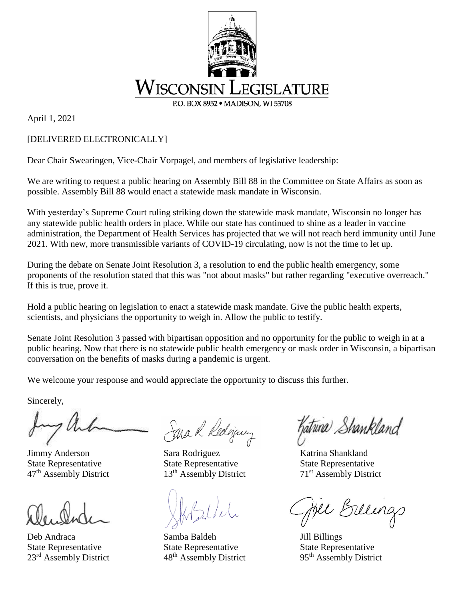

April 1, 2021

## [DELIVERED ELECTRONICALLY]

Dear Chair Swearingen, Vice-Chair Vorpagel, and members of legislative leadership:

We are writing to request a public hearing on Assembly Bill 88 in the Committee on State Affairs as soon as possible. Assembly Bill 88 would enact a statewide mask mandate in Wisconsin.

With yesterday's Supreme Court ruling striking down the statewide mask mandate, Wisconsin no longer has any statewide public health orders in place. While our state has continued to shine as a leader in vaccine administration, the Department of Health Services has projected that we will not reach herd immunity until June 2021. With new, more transmissible variants of COVID-19 circulating, now is not the time to let up.

During the debate on Senate Joint Resolution 3, a resolution to end the public health emergency, some proponents of the resolution stated that this was "not about masks" but rather regarding "executive overreach." If this is true, prove it.

Hold a public hearing on legislation to enact a statewide mask mandate. Give the public health experts, scientists, and physicians the opportunity to weigh in. Allow the public to testify.

Senate Joint Resolution 3 passed with bipartisan opposition and no opportunity for the public to weigh in at a public hearing. Now that there is no statewide public health emergency or mask order in Wisconsin, a bipartisan conversation on the benefits of masks during a pandemic is urgent.

We welcome your response and would appreciate the opportunity to discuss this further.

Sincerely,

Deb Andraca Samba Baldeh Jill Billings State Representative State Representative State Representative 23<sup>rd</sup> Assembly District 48<sup>th</sup> Assembly District 95<sup>th</sup> Assembly District

Sara R Rediguez

Jimmy Anderson Sara Rodriguez Katrina Shankland State Representative State Representative State Representative  $47<sup>th</sup>$  Assembly District 13<sup>th</sup> Assembly District 71<sup>st</sup> Assembly District

hatuna Shankland

Billings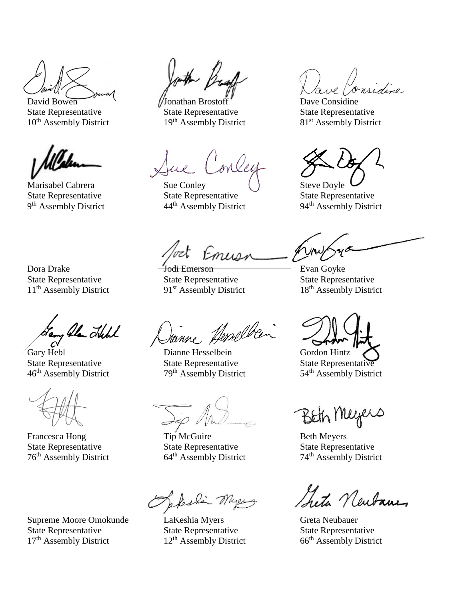State Representative State Representative State Representative State Representative 10<sup>th</sup> Assembly District 19<sup>th</sup> Assembly District 81<sup>st</sup> Assembly District

9<sup>th</sup> Assembly District 44

David Bowen  $\sqrt{J}$ Onathan Brostoff Dave Considing  $19<sup>th</sup>$  Assembly District

Jue Conley

Marisabel Cabrera Sue Conley () Steve Doyle

 $t$ *murn* 

Dora Drake **Jodi Emerson** Evan Goyke  $11<sup>th</sup>$  Assembly District 91<sup>st</sup> Assembly District

State Representative State Representative State Representative State Representative<br>
9<sup>th</sup> Assembly District 94<sup>th</sup> Assembly District 94<sup>th</sup> Assembly District 94<sup>th</sup> Assembly District

State Representative State Representative State Representative State Representative 11<sup>th</sup> Assembly District 18<sup>th</sup> Assembly District

81<sup>st</sup> Assembly District

Lang Alan Lubl

Francesca Hong Tip McGuire Beth Meyers State Representative State Representative State Representative State Representative 76<sup>th</sup> Assembly District 74<sup>th</sup> Assembly District 76<sup>th</sup> Assembly District

Supreme Moore Omokunde LaKeshia Myers Greta Neubauer<br>State Representative State Representative State Representative State Representative State Representative State Representative 17<sup>th</sup> Assembly District 12<sup>th</sup> Assembly District 66<sup>th</sup> Assembly District

Janne Hesselben

Gary Hebl Dianne Hesselbein Gordon Hintz State Representative State Representative State Representative 46<sup>th</sup> Assembly District 79<sup>th</sup> Assembly District 54<sup>th</sup> Assembly District

Seleshin Myerg

Beth Meyers

th Assembly District 74th Assembly District

Seta Newbanes